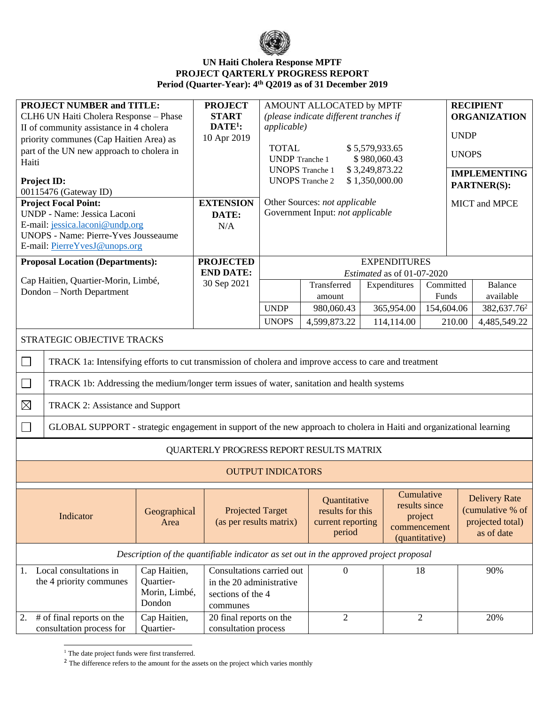

## **UN Haiti Cholera Response MPTF PROJECT QARTERLY PROGRESS REPORT Period (Quarter-Year): 4 th Q2019 as of 31 December 2019**

| <b>PROJECT NUMBER and TITLE:</b><br>CLH6 UN Haiti Cholera Response - Phase<br>II of community assistance in 4 cholera<br>priority communes (Cap Haitien Area) as<br>part of the UN new approach to cholera in<br>Haiti<br>Project ID:<br>00115476 (Gateway ID)<br><b>Project Focal Point:</b><br>UNDP - Name: Jessica Laconi<br>E-mail: jessica.laconi@undp.org<br><b>UNOPS - Name: Pierre-Yves Jousseaume</b><br>E-mail: PierreYvesJ@unops.org |                                                                                       | <b>PROJECT</b><br><b>START</b><br>$DATE1$ :<br>10 Apr 2019<br><b>EXTENSION</b><br>DATE:<br>N/A | AMOUNT ALLOCATED by MPTF<br>(please indicate different tranches if<br><i>applicable</i> )<br><b>TOTAL</b><br>\$5,579,933.65<br>\$980,060.43<br><b>UNDP</b> Tranche 1<br><b>UNOPS</b> Tranche 1<br>\$3,249,873.22<br><b>UNOPS</b> Tranche 2<br>\$1,350,000.00<br>Other Sources: not applicable<br>Government Input: not applicable |                                                                 |              |                                                                          | <b>RECIPIENT</b><br><b>ORGANIZATION</b><br><b>UNDP</b><br><b>UNOPS</b><br><b>IMPLEMENTING</b><br><b>PARTNER(S):</b><br><b>MICT</b> and MPCE |                                                                            |
|-------------------------------------------------------------------------------------------------------------------------------------------------------------------------------------------------------------------------------------------------------------------------------------------------------------------------------------------------------------------------------------------------------------------------------------------------|---------------------------------------------------------------------------------------|------------------------------------------------------------------------------------------------|-----------------------------------------------------------------------------------------------------------------------------------------------------------------------------------------------------------------------------------------------------------------------------------------------------------------------------------|-----------------------------------------------------------------|--------------|--------------------------------------------------------------------------|---------------------------------------------------------------------------------------------------------------------------------------------|----------------------------------------------------------------------------|
| <b>Proposal Location (Departments):</b>                                                                                                                                                                                                                                                                                                                                                                                                         |                                                                                       | <b>PROJECTED</b>                                                                               | <b>EXPENDITURES</b>                                                                                                                                                                                                                                                                                                               |                                                                 |              |                                                                          |                                                                                                                                             |                                                                            |
| Cap Haitien, Quartier-Morin, Limbé,                                                                                                                                                                                                                                                                                                                                                                                                             |                                                                                       | <b>END DATE:</b>                                                                               | Estimated as of 01-07-2020                                                                                                                                                                                                                                                                                                        |                                                                 |              |                                                                          |                                                                                                                                             |                                                                            |
| Dondon - North Department                                                                                                                                                                                                                                                                                                                                                                                                                       |                                                                                       | 30 Sep 2021                                                                                    |                                                                                                                                                                                                                                                                                                                                   | Transferred<br>amount                                           | Expenditures | Committed<br>Funds                                                       |                                                                                                                                             | <b>Balance</b><br>available                                                |
|                                                                                                                                                                                                                                                                                                                                                                                                                                                 |                                                                                       |                                                                                                | <b>UNDP</b>                                                                                                                                                                                                                                                                                                                       | 980,060.43                                                      | 365,954.00   | 154,604.06                                                               |                                                                                                                                             | 382,637.76 <sup>2</sup>                                                    |
|                                                                                                                                                                                                                                                                                                                                                                                                                                                 |                                                                                       |                                                                                                | <b>UNOPS</b>                                                                                                                                                                                                                                                                                                                      | 4,599,873.22                                                    | 114,114.00   | 210.00                                                                   |                                                                                                                                             | 4,485,549.22                                                               |
| STRATEGIC OBJECTIVE TRACKS                                                                                                                                                                                                                                                                                                                                                                                                                      |                                                                                       |                                                                                                |                                                                                                                                                                                                                                                                                                                                   |                                                                 |              |                                                                          |                                                                                                                                             |                                                                            |
| $\Box$<br>TRACK 1a: Intensifying efforts to cut transmission of cholera and improve access to care and treatment                                                                                                                                                                                                                                                                                                                                |                                                                                       |                                                                                                |                                                                                                                                                                                                                                                                                                                                   |                                                                 |              |                                                                          |                                                                                                                                             |                                                                            |
| $\Box$<br>TRACK 1b: Addressing the medium/longer term issues of water, sanitation and health systems                                                                                                                                                                                                                                                                                                                                            |                                                                                       |                                                                                                |                                                                                                                                                                                                                                                                                                                                   |                                                                 |              |                                                                          |                                                                                                                                             |                                                                            |
| $\boxtimes$<br>TRACK 2: Assistance and Support                                                                                                                                                                                                                                                                                                                                                                                                  |                                                                                       |                                                                                                |                                                                                                                                                                                                                                                                                                                                   |                                                                 |              |                                                                          |                                                                                                                                             |                                                                            |
| $\Box$<br>GLOBAL SUPPORT - strategic engagement in support of the new approach to cholera in Haiti and organizational learning                                                                                                                                                                                                                                                                                                                  |                                                                                       |                                                                                                |                                                                                                                                                                                                                                                                                                                                   |                                                                 |              |                                                                          |                                                                                                                                             |                                                                            |
| QUARTERLY PROGRESS REPORT RESULTS MATRIX                                                                                                                                                                                                                                                                                                                                                                                                        |                                                                                       |                                                                                                |                                                                                                                                                                                                                                                                                                                                   |                                                                 |              |                                                                          |                                                                                                                                             |                                                                            |
|                                                                                                                                                                                                                                                                                                                                                                                                                                                 |                                                                                       |                                                                                                | <b>OUTPUT INDICATORS</b>                                                                                                                                                                                                                                                                                                          |                                                                 |              |                                                                          |                                                                                                                                             |                                                                            |
| Geographical<br>Indicator<br>Area                                                                                                                                                                                                                                                                                                                                                                                                               |                                                                                       | <b>Projected Target</b><br>(as per results matrix)                                             |                                                                                                                                                                                                                                                                                                                                   | Quantitative<br>results for this<br>current reporting<br>period |              | Cumulative<br>results since<br>project<br>commencement<br>(quantitative) |                                                                                                                                             | <b>Delivery Rate</b><br>(cumulative % of<br>projected total)<br>as of date |
|                                                                                                                                                                                                                                                                                                                                                                                                                                                 | Description of the quantifiable indicator as set out in the approved project proposal |                                                                                                |                                                                                                                                                                                                                                                                                                                                   |                                                                 |              |                                                                          |                                                                                                                                             |                                                                            |
| Local consultations in<br>1.<br>the 4 priority communes                                                                                                                                                                                                                                                                                                                                                                                         | Cap Haitien,<br>Quartier-<br>Morin, Limbé,<br>Dondon                                  | Consultations carried out<br>in the 20 administrative<br>sections of the 4<br>communes         |                                                                                                                                                                                                                                                                                                                                   | 0                                                               |              | 18                                                                       |                                                                                                                                             | 90%                                                                        |
| # of final reports on the<br>2.<br>consultation process for                                                                                                                                                                                                                                                                                                                                                                                     | Cap Haitien,<br>20 final reports on the<br>consultation process<br>Quartier-          |                                                                                                |                                                                                                                                                                                                                                                                                                                                   | $\mathfrak{2}$                                                  |              | $\overline{2}$                                                           |                                                                                                                                             | 20%                                                                        |

 $^{\rm 1}$  The date project funds were first transferred.

<sup>&</sup>lt;sup>2</sup> The difference refers to the amount for the assets on the project which varies monthly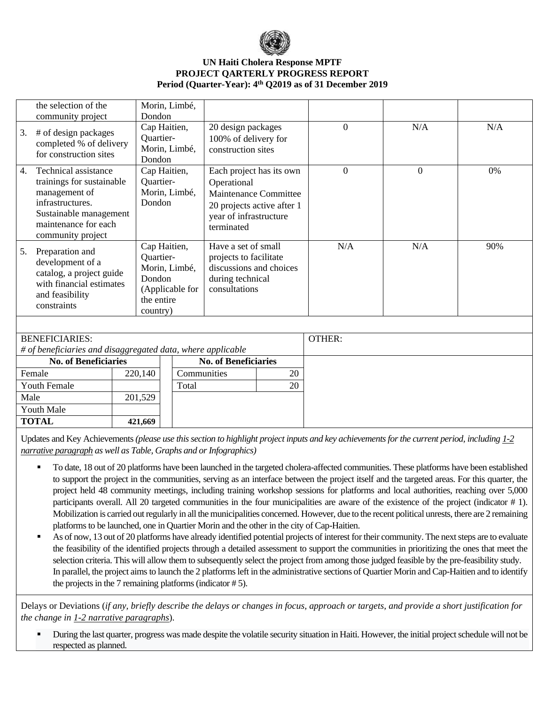

## **UN Haiti Cholera Response MPTF PROJECT QARTERLY PROGRESS REPORT Period (Quarter-Year): 4 th Q2019 as of 31 December 2019**

|    | the selection of the<br>community project                                                                                                                     | Morin, Limbé,<br>Dondon                                                                           |                                                                                                                                        |          |          |     |
|----|---------------------------------------------------------------------------------------------------------------------------------------------------------------|---------------------------------------------------------------------------------------------------|----------------------------------------------------------------------------------------------------------------------------------------|----------|----------|-----|
| 3. | # of design packages<br>completed % of delivery<br>for construction sites                                                                                     | Cap Haitien,<br>Quartier-<br>Morin, Limbé,<br>Dondon                                              | 20 design packages<br>100% of delivery for<br>construction sites                                                                       | $\Omega$ | N/A      | N/A |
| 4. | Technical assistance<br>trainings for sustainable<br>management of<br>infrastructures.<br>Sustainable management<br>maintenance for each<br>community project | Cap Haitien,<br>Quartier-<br>Morin, Limbé,<br>Dondon                                              | Each project has its own<br>Operational<br>Maintenance Committee<br>20 projects active after 1<br>year of infrastructure<br>terminated | $\Omega$ | $\theta$ | 0%  |
| 5. | Preparation and<br>development of a<br>catalog, a project guide<br>with financial estimates<br>and feasibility<br>constraints                                 | Cap Haitien,<br>Quartier-<br>Morin, Limbé,<br>Dondon<br>(Applicable for<br>the entire<br>country) | Have a set of small<br>projects to facilitate<br>discussions and choices<br>during technical<br>consultations                          | N/A      | N/A      | 90% |

| <b>BENEFICIARIES:</b>                                       |         |                             |    | OTHER: |
|-------------------------------------------------------------|---------|-----------------------------|----|--------|
| # of beneficiaries and disaggregated data, where applicable |         |                             |    |        |
| <b>No. of Beneficiaries</b>                                 |         | <b>No. of Beneficiaries</b> |    |        |
| Female                                                      | 220,140 | Communities                 | 20 |        |
| <b>Youth Female</b>                                         |         | Total                       | 20 |        |
| Male                                                        | 201,529 |                             |    |        |
| <b>Youth Male</b>                                           |         |                             |    |        |
| <b>TOTAL</b>                                                | 421,669 |                             |    |        |
|                                                             |         |                             |    |        |

Updates and Key Achievements *(please use this section to highlight project inputs and key achievements for the current period, including 1-2 narrative paragraph as well as Table, Graphs and or Infographics)*

- To date, 18 out of 20 platforms have been launched in the targeted cholera-affected communities. These platforms have been established to support the project in the communities, serving as an interface between the project itself and the targeted areas. For this quarter, the project held 48 community meetings, including training workshop sessions for platforms and local authorities, reaching over 5,000 participants overall. All 20 targeted communities in the four municipalities are aware of the existence of the project (indicator # 1). Mobilization is carried out regularly in all the municipalities concerned. However, due to the recent political unrests, there are 2 remaining platforms to be launched, one in Quartier Morin and the other in the city of Cap-Haitien.
- As of now, 13 out of 20 platforms have already identified potential projects of interest for their community. The next steps are to evaluate the feasibility of the identified projects through a detailed assessment to support the communities in prioritizing the ones that meet the selection criteria. This will allow them to subsequently select the project from among those judged feasible by the pre-feasibility study. In parallel, the project aims to launch the 2 platforms left in the administrative sections of Quartier Morin and Cap-Haitien and to identify the projects in the 7 remaining platforms (indicator # 5).

Delays or Deviations (*if any, briefly describe the delays or changes in focus, approach or targets, and provide a short justification for the change in 1-2 narrative paragraphs*).

During the last quarter, progress was made despite the volatile security situation in Haiti. However, the initial project schedule will not be respected as planned.